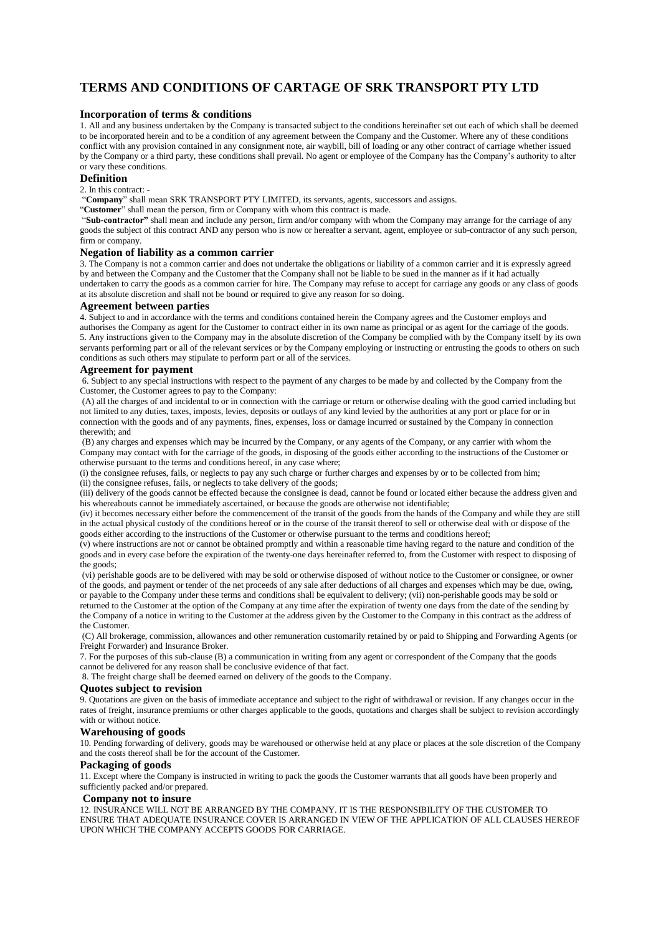# **TERMS AND CONDITIONS OF CARTAGE OF SRK TRANSPORT PTY LTD**

#### **Incorporation of terms & conditions**

1. All and any business undertaken by the Company is transacted subject to the conditions hereinafter set out each of which shall be deemed to be incorporated herein and to be a condition of any agreement between the Company and the Customer. Where any of these conditions conflict with any provision contained in any consignment note, air waybill, bill of loading or any other contract of carriage whether issued by the Company or a third party, these conditions shall prevail. No agent or employee of the Company has the Company's authority to alter or vary these conditions.

## **Definition**

2. In this contract: -

"**Company**" shall mean SRK TRANSPORT PTY LIMITED, its servants, agents, successors and assigns.

"**Customer**" shall mean the person, firm or Company with whom this contract is made.

"**Sub-contractor"** shall mean and include any person, firm and/or company with whom the Company may arrange for the carriage of any goods the subject of this contract AND any person who is now or hereafter a servant, agent, employee or sub-contractor of any such person, firm or company.

## **Negation of liability as a common carrier**

3. The Company is not a common carrier and does not undertake the obligations or liability of a common carrier and it is expressly agreed by and between the Company and the Customer that the Company shall not be liable to be sued in the manner as if it had actually undertaken to carry the goods as a common carrier for hire. The Company may refuse to accept for carriage any goods or any class of goods at its absolute discretion and shall not be bound or required to give any reason for so doing.

#### **Agreement between parties**

4. Subject to and in accordance with the terms and conditions contained herein the Company agrees and the Customer employs and authorises the Company as agent for the Customer to contract either in its own name as principal or as agent for the carriage of the goods. 5. Any instructions given to the Company may in the absolute discretion of the Company be complied with by the Company itself by its own servants performing part or all of the relevant services or by the Company employing or instructing or entrusting the goods to others on such conditions as such others may stipulate to perform part or all of the services.

#### **Agreement for payment**

6. Subject to any special instructions with respect to the payment of any charges to be made by and collected by the Company from the Customer, the Customer agrees to pay to the Company:

(A) all the charges of and incidental to or in connection with the carriage or return or otherwise dealing with the good carried including but not limited to any duties, taxes, imposts, levies, deposits or outlays of any kind levied by the authorities at any port or place for or in connection with the goods and of any payments, fines, expenses, loss or damage incurred or sustained by the Company in connection therewith; and

(B) any charges and expenses which may be incurred by the Company, or any agents of the Company, or any carrier with whom the Company may contact with for the carriage of the goods, in disposing of the goods either according to the instructions of the Customer or otherwise pursuant to the terms and conditions hereof, in any case where;

(i) the consignee refuses, fails, or neglects to pay any such charge or further charges and expenses by or to be collected from him; (ii) the consignee refuses, fails, or neglects to take delivery of the goods;

(iii) delivery of the goods cannot be effected because the consignee is dead, cannot be found or located either because the address given and his whereabouts cannot be immediately ascertained, or because the goods are otherwise not identifiable;

(iv) it becomes necessary either before the commencement of the transit of the goods from the hands of the Company and while they are still in the actual physical custody of the conditions hereof or in the course of the transit thereof to sell or otherwise deal with or dispose of the goods either according to the instructions of the Customer or otherwise pursuant to the terms and conditions hereof;

(v) where instructions are not or cannot be obtained promptly and within a reasonable time having regard to the nature and condition of the goods and in every case before the expiration of the twenty-one days hereinafter referred to, from the Customer with respect to disposing of the goods:

(vi) perishable goods are to be delivered with may be sold or otherwise disposed of without notice to the Customer or consignee, or owner of the goods, and payment or tender of the net proceeds of any sale after deductions of all charges and expenses which may be due, owing, or payable to the Company under these terms and conditions shall be equivalent to delivery; (vii) non-perishable goods may be sold or returned to the Customer at the option of the Company at any time after the expiration of twenty one days from the date of the sending by the Company of a notice in writing to the Customer at the address given by the Customer to the Company in this contract as the address of the Customer.

(C) All brokerage, commission, allowances and other remuneration customarily retained by or paid to Shipping and Forwarding Agents (or Freight Forwarder) and Insurance Broker.

7. For the purposes of this sub-clause (B) a communication in writing from any agent or correspondent of the Company that the goods cannot be delivered for any reason shall be conclusive evidence of that fact.

8. The freight charge shall be deemed earned on delivery of the goods to the Company.

#### **Quotes subject to revision**

9. Quotations are given on the basis of immediate acceptance and subject to the right of withdrawal or revision. If any changes occur in the rates of freight, insurance premiums or other charges applicable to the goods, quotations and charges shall be subject to revision accordingly with or without notice.

#### **Warehousing of goods**

10. Pending forwarding of delivery, goods may be warehoused or otherwise held at any place or places at the sole discretion of the Company and the costs thereof shall be for the account of the Customer.

#### **Packaging of goods**

11. Except where the Company is instructed in writing to pack the goods the Customer warrants that all goods have been properly and sufficiently packed and/or prepared.

#### **Company not to insure**

12. INSURANCE WILL NOT BE ARRANGED BY THE COMPANY. IT IS THE RESPONSIBILITY OF THE CUSTOMER TO ENSURE THAT ADEQUATE INSURANCE COVER IS ARRANGED IN VIEW OF THE APPLICATION OF ALL CLAUSES HEREOF UPON WHICH THE COMPANY ACCEPTS GOODS FOR CARRIAGE.